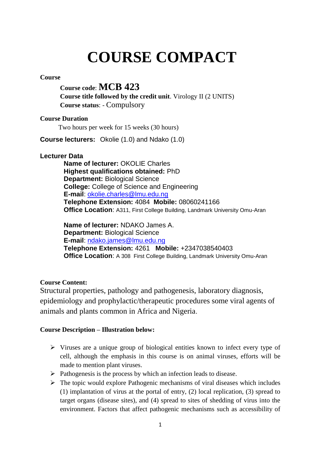# **COURSE COMPACT**

# **Course**

# **Course code**: **MCB 423**

**Course title followed by the credit unit**. Virology II (2 UNITS) **Course status**: - Compulsory

#### **Course Duration**

Two hours per week for 15 weeks (30 hours)

**Course lecturers:** Okolie (1.0) and Ndako (1.0)

# **Lecturer Data**

**Name of lecturer:** OKOLIE Charles **Highest qualifications obtained:** PhD **Department:** Biological Science **College:** College of Science and Engineering **E-mail**: [okolie.charles@lmu.edu.ng](mailto:okolie.charles@lmu.edu.ng) **Telephone Extension:** 4084 **Mobile:** 08060241166 **Office Location**: A311, First College Building, Landmark University Omu-Aran

**Name of lecturer:** NDAKO James A. **Department:** Biological Science **E-mail**: [ndako.james@lmu.edu.ng](mailto:ndako.james@lmu.edu.ng) **Telephone Extension:** 4261 **Mobile:** +2347038540403 **Office Location:** A 308 First College Building, Landmark University Omu-Aran

# **Course Content:**

Structural properties, pathology and pathogenesis, laboratory diagnosis, epidemiology and prophylactic/therapeutic procedures some viral agents of animals and plants common in Africa and Nigeria.

# **Course Description – Illustration below:**

- $\triangleright$  Viruses are a unique group of biological entities known to infect every type of cell, although the emphasis in this course is on animal viruses, efforts will be made to mention plant viruses.
- $\triangleright$  Pathogenesis is the process by which an infection leads to disease.
- $\triangleright$  The topic would explore Pathogenic mechanisms of viral diseases which includes (1) implantation of virus at the portal of entry, (2) local replication, (3) spread to target organs (disease sites), and (4) spread to sites of shedding of virus into the environment. Factors that affect pathogenic mechanisms such as accessibility of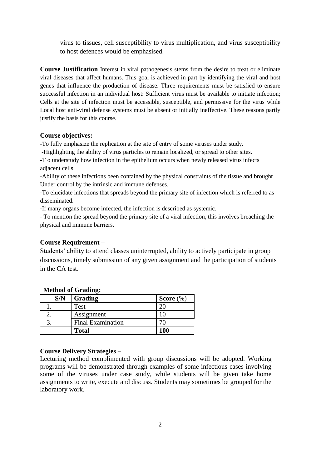virus to tissues, cell susceptibility to virus multiplication, and virus susceptibility to host defences would be emphasised.

**Course Justification** Interest in viral pathogenesis stems from the desire to treat or eliminate viral diseases that affect humans. This goal is achieved in part by identifying the viral and host genes that influence the production of disease. Three requirements must be satisfied to ensure successful infection in an individual host: Sufficient virus must be available to initiate infection; Cells at the site of infection must be accessible, susceptible, and permissive for the virus while Local host anti-viral defense systems must be absent or initially ineffective. These reasons partly justify the basis for this course.

#### **Course objectives:**

-To fully emphasize the replication at the site of entry of some viruses under study.

-Highlighting the ability of virus particles to remain localized, or spread to other sites.

-T o understudy how infection in the epithelium occurs when newly released virus infects adjacent cells.

-Ability of these infections been contained by the physical constraints of the tissue and brought Under control by the intrinsic and immune defenses.

-To elucidate infections that spreads beyond the primary site of infection which is referred to as disseminated.

-If many organs become infected, the infection is described as systemic.

- To mention the spread beyond the primary site of a viral infection, this involves breaching the physical and immune barriers.

#### **Course Requirement –**

Students' ability to attend classes uninterrupted, ability to actively participate in group discussions, timely submission of any given assignment and the participation of students in the CA test.

| S/N | Grading                  | Score $(\%)$ |
|-----|--------------------------|--------------|
|     | Test                     |              |
|     | Assignment               |              |
|     | <b>Final Examination</b> |              |
|     | <b>Total</b>             | 100          |

#### **Method of Grading:**

#### **Course Delivery Strategies –**

Lecturing method complimented with group discussions will be adopted. Working programs will be demonstrated through examples of some infectious cases involving some of the viruses under case study, while students will be given take home assignments to write, execute and discuss. Students may sometimes be grouped for the laboratory work.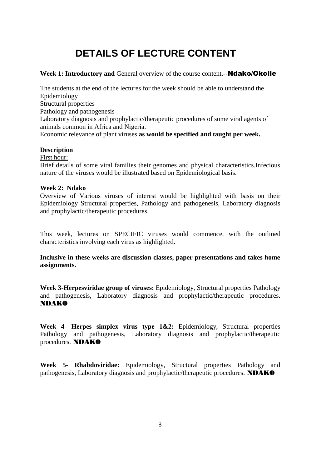# **DETAILS OF LECTURE CONTENT**

# **Week 1: Introductory and General overview of the course content.--<b>Ndako/Okolie**

The students at the end of the lectures for the week should be able to understand the Epidemiology Structural properties Pathology and pathogenesis Laboratory diagnosis and prophylactic/therapeutic procedures of some viral agents of animals common in Africa and Nigeria. Economic relevance of plant viruses **as would be specified and taught per week.**

# **Description**

First hour:

Brief details of some viral families their genomes and physical characteristics.Infecious nature of the viruses would be illustrated based on Epidemiological basis.

# **Week 2: Ndako**

Overview of Various viruses of interest would be highlighted with basis on their Epidemiology Structural properties, Pathology and pathogenesis, Laboratory diagnosis and prophylactic/therapeutic procedures.

This week, lectures on SPECIFIC viruses would commence, with the outlined characteristics involving each virus as highlighted.

**Inclusive in these weeks are discussion classes, paper presentations and takes home assignments.**

**Week 3-Herpesviridae group of viruses:** Epidemiology, Structural properties Pathology and pathogenesis, Laboratory diagnosis and prophylactic/therapeutic procedures. NDAKO

**Week 4- Herpes simplex virus type 1&2:** Epidemiology, Structural properties Pathology and pathogenesis, Laboratory diagnosis and prophylactic/therapeutic procedures. NDAKO

**Week 5- Rhabdoviridae:** Epidemiology, Structural properties Pathology and pathogenesis, Laboratory diagnosis and prophylactic/therapeutic procedures. NDAKO